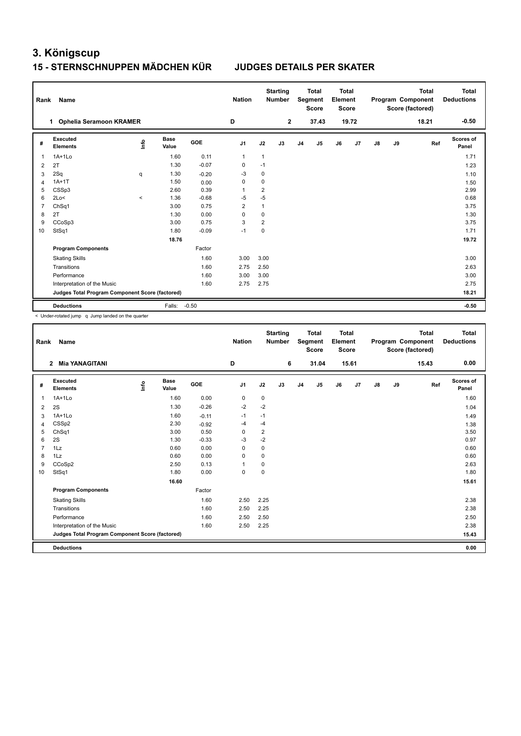### **15 - STERNSCHNUPPEN MÄDCHEN KÜR JUDGES DETAILS PER SKATER**

| Rank           | Name                                            |         |                      |         | <b>Nation</b>  |                         | <b>Starting</b><br><b>Number</b> |                | <b>Total</b><br>Segment<br><b>Score</b> | <b>Total</b><br>Element<br>Score |       |    |    | <b>Total</b><br>Program Component<br>Score (factored) | Total<br><b>Deductions</b> |
|----------------|-------------------------------------------------|---------|----------------------|---------|----------------|-------------------------|----------------------------------|----------------|-----------------------------------------|----------------------------------|-------|----|----|-------------------------------------------------------|----------------------------|
|                | <b>Ophelia Seramoon KRAMER</b><br>$\mathbf{1}$  |         |                      |         | D              |                         | $\overline{2}$                   |                | 37.43                                   |                                  | 19.72 |    |    | 18.21                                                 | $-0.50$                    |
| #              | Executed<br><b>Elements</b>                     | lnfo    | <b>Base</b><br>Value | GOE     | J <sub>1</sub> | J2                      | J3                               | J <sub>4</sub> | J <sub>5</sub>                          | J6                               | J7    | J8 | J9 | Ref                                                   | <b>Scores of</b><br>Panel  |
| 1              | $1A+1Lo$                                        |         | 1.60                 | 0.11    | $\mathbf{1}$   | $\mathbf{1}$            |                                  |                |                                         |                                  |       |    |    |                                                       | 1.71                       |
| 2              | 2T                                              |         | 1.30                 | $-0.07$ | 0              | $-1$                    |                                  |                |                                         |                                  |       |    |    |                                                       | 1.23                       |
| 3              | 2Sq                                             | q       | 1.30                 | $-0.20$ | -3             | 0                       |                                  |                |                                         |                                  |       |    |    |                                                       | 1.10                       |
| $\overline{4}$ | $1A+1T$                                         |         | 1.50                 | 0.00    | $\mathbf 0$    | $\mathbf 0$             |                                  |                |                                         |                                  |       |    |    |                                                       | 1.50                       |
| 5              | CSSp3                                           |         | 2.60                 | 0.39    | -1             | $\overline{2}$          |                                  |                |                                         |                                  |       |    |    |                                                       | 2.99                       |
| 6              | 2Lo<                                            | $\prec$ | 1.36                 | $-0.68$ | $-5$           | $-5$                    |                                  |                |                                         |                                  |       |    |    |                                                       | 0.68                       |
| 7              | ChSq1                                           |         | 3.00                 | 0.75    | $\overline{2}$ | $\mathbf{1}$            |                                  |                |                                         |                                  |       |    |    |                                                       | 3.75                       |
| 8              | 2T                                              |         | 1.30                 | 0.00    | $\Omega$       | 0                       |                                  |                |                                         |                                  |       |    |    |                                                       | 1.30                       |
| 9              | CCoSp3                                          |         | 3.00                 | 0.75    | 3              | $\overline{\mathbf{c}}$ |                                  |                |                                         |                                  |       |    |    |                                                       | 3.75                       |
| 10             | StSq1                                           |         | 1.80                 | $-0.09$ | $-1$           | $\mathbf 0$             |                                  |                |                                         |                                  |       |    |    |                                                       | 1.71                       |
|                |                                                 |         | 18.76                |         |                |                         |                                  |                |                                         |                                  |       |    |    |                                                       | 19.72                      |
|                | <b>Program Components</b>                       |         |                      | Factor  |                |                         |                                  |                |                                         |                                  |       |    |    |                                                       |                            |
|                | <b>Skating Skills</b>                           |         |                      | 1.60    | 3.00           | 3.00                    |                                  |                |                                         |                                  |       |    |    |                                                       | 3.00                       |
|                | Transitions                                     |         |                      | 1.60    | 2.75           | 2.50                    |                                  |                |                                         |                                  |       |    |    |                                                       | 2.63                       |
|                | Performance                                     |         |                      | 1.60    | 3.00           | 3.00                    |                                  |                |                                         |                                  |       |    |    |                                                       | 3.00                       |
|                | Interpretation of the Music                     |         |                      | 1.60    | 2.75           | 2.75                    |                                  |                |                                         |                                  |       |    |    |                                                       | 2.75                       |
|                | Judges Total Program Component Score (factored) |         |                      |         |                |                         |                                  |                |                                         |                                  |       |    |    |                                                       | 18.21                      |
|                | <b>Deductions</b>                               |         | Falls:               | $-0.50$ |                |                         |                                  |                |                                         |                                  |       |    |    |                                                       | $-0.50$                    |

< Under-rotated jump q Jump landed on the quarter

| Rank           | <b>Name</b>                                     |    |                      |         | <b>Nation</b> |                | <b>Starting</b><br><b>Number</b> |                | <b>Total</b><br>Segment<br><b>Score</b> | <b>Total</b><br>Element<br><b>Score</b> |       |               |    | <b>Total</b><br>Program Component<br>Score (factored) | Total<br><b>Deductions</b> |
|----------------|-------------------------------------------------|----|----------------------|---------|---------------|----------------|----------------------------------|----------------|-----------------------------------------|-----------------------------------------|-------|---------------|----|-------------------------------------------------------|----------------------------|
|                | <b>Mia YANAGITANI</b><br>$\overline{2}$         |    |                      |         | D             |                | 6                                |                | 31.04                                   |                                         | 15.61 |               |    | 15.43                                                 | 0.00                       |
| #              | Executed<br><b>Elements</b>                     | ١m | <b>Base</b><br>Value | GOE     | J1            | J2             | J3                               | J <sub>4</sub> | J5                                      | J6                                      | J7    | $\mathsf{J}8$ | J9 | Ref                                                   | <b>Scores of</b><br>Panel  |
| $\overline{1}$ | $1A+1Lo$                                        |    | 1.60                 | 0.00    | $\mathbf 0$   | 0              |                                  |                |                                         |                                         |       |               |    |                                                       | 1.60                       |
| 2              | 2S                                              |    | 1.30                 | $-0.26$ | $-2$          | $-2$           |                                  |                |                                         |                                         |       |               |    |                                                       | 1.04                       |
| 3              | $1A+1Lo$                                        |    | 1.60                 | $-0.11$ | $-1$          | $-1$           |                                  |                |                                         |                                         |       |               |    |                                                       | 1.49                       |
| 4              | CSS <sub>p2</sub>                               |    | 2.30                 | $-0.92$ | $-4$          | $-4$           |                                  |                |                                         |                                         |       |               |    |                                                       | 1.38                       |
| 5              | ChSq1                                           |    | 3.00                 | 0.50    | 0             | $\overline{c}$ |                                  |                |                                         |                                         |       |               |    |                                                       | 3.50                       |
| 6              | 2S                                              |    | 1.30                 | $-0.33$ | -3            | $-2$           |                                  |                |                                         |                                         |       |               |    |                                                       | 0.97                       |
| $\overline{7}$ | 1Lz                                             |    | 0.60                 | 0.00    | 0             | 0              |                                  |                |                                         |                                         |       |               |    |                                                       | 0.60                       |
| 8              | 1Lz                                             |    | 0.60                 | 0.00    | 0             | 0              |                                  |                |                                         |                                         |       |               |    |                                                       | 0.60                       |
| 9              | CCoSp2                                          |    | 2.50                 | 0.13    | $\mathbf 1$   | $\mathbf 0$    |                                  |                |                                         |                                         |       |               |    |                                                       | 2.63                       |
| 10             | StSq1                                           |    | 1.80                 | 0.00    | 0             | $\pmb{0}$      |                                  |                |                                         |                                         |       |               |    |                                                       | 1.80                       |
|                |                                                 |    | 16.60                |         |               |                |                                  |                |                                         |                                         |       |               |    |                                                       | 15.61                      |
|                | <b>Program Components</b>                       |    |                      | Factor  |               |                |                                  |                |                                         |                                         |       |               |    |                                                       |                            |
|                | <b>Skating Skills</b>                           |    |                      | 1.60    | 2.50          | 2.25           |                                  |                |                                         |                                         |       |               |    |                                                       | 2.38                       |
|                | Transitions                                     |    |                      | 1.60    | 2.50          | 2.25           |                                  |                |                                         |                                         |       |               |    |                                                       | 2.38                       |
|                | Performance                                     |    |                      | 1.60    | 2.50          | 2.50           |                                  |                |                                         |                                         |       |               |    |                                                       | 2.50                       |
|                | Interpretation of the Music                     |    |                      | 1.60    | 2.50          | 2.25           |                                  |                |                                         |                                         |       |               |    |                                                       | 2.38                       |
|                | Judges Total Program Component Score (factored) |    |                      |         |               |                |                                  |                |                                         |                                         |       |               |    |                                                       | 15.43                      |
|                | <b>Deductions</b>                               |    |                      |         |               |                |                                  |                |                                         |                                         |       |               |    |                                                       | 0.00                       |
|                |                                                 |    |                      |         |               |                |                                  |                |                                         |                                         |       |               |    |                                                       |                            |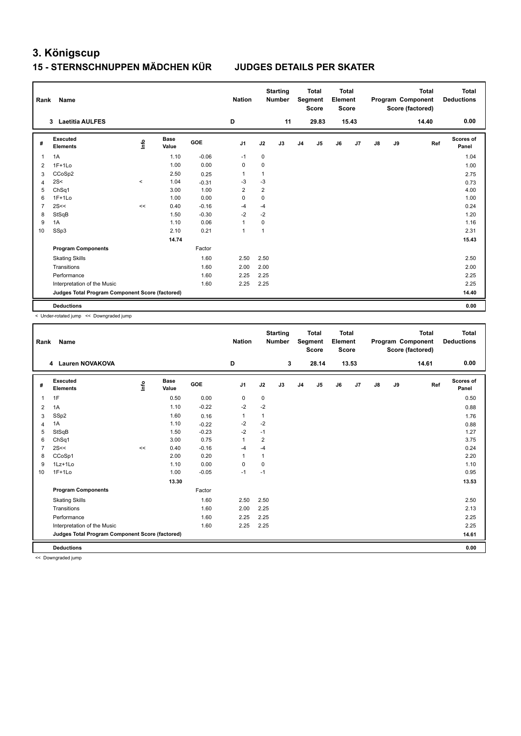### **15 - STERNSCHNUPPEN MÄDCHEN KÜR JUDGES DETAILS PER SKATER**

| Rank           | Name                                            |         |                      |         | <b>Nation</b>  |                         | <b>Starting</b><br><b>Number</b> |                | <b>Total</b><br>Segment<br><b>Score</b> | <b>Total</b><br>Element<br><b>Score</b> |       |    |    | <b>Total</b><br>Program Component<br>Score (factored) | <b>Total</b><br><b>Deductions</b> |
|----------------|-------------------------------------------------|---------|----------------------|---------|----------------|-------------------------|----------------------------------|----------------|-----------------------------------------|-----------------------------------------|-------|----|----|-------------------------------------------------------|-----------------------------------|
|                | 3 Laetitia AULFES                               |         |                      |         | D              |                         | 11                               |                | 29.83                                   |                                         | 15.43 |    |    | 14.40                                                 | 0.00                              |
| #              | <b>Executed</b><br><b>Elements</b>              | lnfo    | <b>Base</b><br>Value | GOE     | J <sub>1</sub> | J2                      | J3                               | J <sub>4</sub> | J <sub>5</sub>                          | J6                                      | J7    | J8 | J9 | Ref                                                   | <b>Scores of</b><br>Panel         |
| 1              | 1A                                              |         | 1.10                 | $-0.06$ | $-1$           | 0                       |                                  |                |                                         |                                         |       |    |    |                                                       | 1.04                              |
| 2              | $1F+1Lo$                                        |         | 1.00                 | 0.00    | $\Omega$       | 0                       |                                  |                |                                         |                                         |       |    |    |                                                       | 1.00                              |
| 3              | CCoSp2                                          |         | 2.50                 | 0.25    | $\overline{1}$ | $\mathbf{1}$            |                                  |                |                                         |                                         |       |    |    |                                                       | 2.75                              |
| 4              | 2S<                                             | $\,<\,$ | 1.04                 | $-0.31$ | $-3$           | $-3$                    |                                  |                |                                         |                                         |       |    |    |                                                       | 0.73                              |
| 5              | ChSq1                                           |         | 3.00                 | 1.00    | $\overline{2}$ | $\overline{\mathbf{c}}$ |                                  |                |                                         |                                         |       |    |    |                                                       | 4.00                              |
| 6              | $1F+1Lo$                                        |         | 1.00                 | 0.00    | $\mathbf 0$    | $\mathbf 0$             |                                  |                |                                         |                                         |       |    |    |                                                       | 1.00                              |
| $\overline{7}$ | 2S<<                                            | <<      | 0.40                 | $-0.16$ | $-4$           | -4                      |                                  |                |                                         |                                         |       |    |    |                                                       | 0.24                              |
| 8              | StSqB                                           |         | 1.50                 | $-0.30$ | $-2$           | $-2$                    |                                  |                |                                         |                                         |       |    |    |                                                       | 1.20                              |
| 9              | 1A                                              |         | 1.10                 | 0.06    | $\mathbf{1}$   | 0                       |                                  |                |                                         |                                         |       |    |    |                                                       | 1.16                              |
| 10             | SSp3                                            |         | 2.10                 | 0.21    | $\mathbf{1}$   | $\mathbf{1}$            |                                  |                |                                         |                                         |       |    |    |                                                       | 2.31                              |
|                |                                                 |         | 14.74                |         |                |                         |                                  |                |                                         |                                         |       |    |    |                                                       | 15.43                             |
|                | <b>Program Components</b>                       |         |                      | Factor  |                |                         |                                  |                |                                         |                                         |       |    |    |                                                       |                                   |
|                | <b>Skating Skills</b>                           |         |                      | 1.60    | 2.50           | 2.50                    |                                  |                |                                         |                                         |       |    |    |                                                       | 2.50                              |
|                | Transitions                                     |         |                      | 1.60    | 2.00           | 2.00                    |                                  |                |                                         |                                         |       |    |    |                                                       | 2.00                              |
|                | Performance                                     |         |                      | 1.60    | 2.25           | 2.25                    |                                  |                |                                         |                                         |       |    |    |                                                       | 2.25                              |
|                | Interpretation of the Music                     |         |                      | 1.60    | 2.25           | 2.25                    |                                  |                |                                         |                                         |       |    |    |                                                       | 2.25                              |
|                | Judges Total Program Component Score (factored) |         |                      |         |                |                         |                                  |                |                                         |                                         |       |    |    |                                                       | 14.40                             |
|                | <b>Deductions</b>                               |         |                      |         |                |                         |                                  |                |                                         |                                         |       |    |    |                                                       | 0.00                              |

< Under-rotated jump << Downgraded jump

| Rank           | Name                                            |      |                      |            | <b>Nation</b>  |                | <b>Starting</b><br><b>Number</b> |                | <b>Total</b><br>Segment<br><b>Score</b> | <b>Total</b><br>Element<br>Score |                |    |    | <b>Total</b><br>Program Component<br>Score (factored) | <b>Total</b><br><b>Deductions</b> |
|----------------|-------------------------------------------------|------|----------------------|------------|----------------|----------------|----------------------------------|----------------|-----------------------------------------|----------------------------------|----------------|----|----|-------------------------------------------------------|-----------------------------------|
|                | 4 Lauren NOVAKOVA                               |      |                      |            | D              |                | 3                                |                | 28.14                                   |                                  | 13.53          |    |    | 14.61                                                 | 0.00                              |
| #              | Executed<br><b>Elements</b>                     | lnfo | <b>Base</b><br>Value | <b>GOE</b> | J1             | J2             | J3                               | J <sub>4</sub> | J5                                      | J6                               | J <sub>7</sub> | J8 | J9 | Ref                                                   | <b>Scores of</b><br>Panel         |
| 1              | 1F                                              |      | 0.50                 | 0.00       | $\mathbf 0$    | 0              |                                  |                |                                         |                                  |                |    |    |                                                       | 0.50                              |
| $\overline{2}$ | 1A                                              |      | 1.10                 | $-0.22$    | $-2$           | $-2$           |                                  |                |                                         |                                  |                |    |    |                                                       | 0.88                              |
| 3              | SSp2                                            |      | 1.60                 | 0.16       | $\overline{1}$ | 1              |                                  |                |                                         |                                  |                |    |    |                                                       | 1.76                              |
| 4              | 1A                                              |      | 1.10                 | $-0.22$    | $-2$           | $-2$           |                                  |                |                                         |                                  |                |    |    |                                                       | 0.88                              |
| 5              | StSqB                                           |      | 1.50                 | $-0.23$    | $-2$           | $-1$           |                                  |                |                                         |                                  |                |    |    |                                                       | 1.27                              |
| 6              | ChSq1                                           |      | 3.00                 | 0.75       | 1              | $\overline{2}$ |                                  |                |                                         |                                  |                |    |    |                                                       | 3.75                              |
| $\overline{7}$ | 2S<<                                            | <<   | 0.40                 | $-0.16$    | $-4$           | $-4$           |                                  |                |                                         |                                  |                |    |    |                                                       | 0.24                              |
| 8              | CCoSp1                                          |      | 2.00                 | 0.20       | $\overline{1}$ | 1              |                                  |                |                                         |                                  |                |    |    |                                                       | 2.20                              |
| 9              | 1Lz+1Lo                                         |      | 1.10                 | 0.00       | 0              | $\mathbf 0$    |                                  |                |                                         |                                  |                |    |    |                                                       | 1.10                              |
| 10             | $1F+1Lo$                                        |      | 1.00                 | $-0.05$    | $-1$           | $-1$           |                                  |                |                                         |                                  |                |    |    |                                                       | 0.95                              |
|                |                                                 |      | 13.30                |            |                |                |                                  |                |                                         |                                  |                |    |    |                                                       | 13.53                             |
|                | <b>Program Components</b>                       |      |                      | Factor     |                |                |                                  |                |                                         |                                  |                |    |    |                                                       |                                   |
|                | <b>Skating Skills</b>                           |      |                      | 1.60       | 2.50           | 2.50           |                                  |                |                                         |                                  |                |    |    |                                                       | 2.50                              |
|                | Transitions                                     |      |                      | 1.60       | 2.00           | 2.25           |                                  |                |                                         |                                  |                |    |    |                                                       | 2.13                              |
|                | Performance                                     |      |                      | 1.60       | 2.25           | 2.25           |                                  |                |                                         |                                  |                |    |    |                                                       | 2.25                              |
|                | Interpretation of the Music                     |      |                      | 1.60       | 2.25           | 2.25           |                                  |                |                                         |                                  |                |    |    |                                                       | 2.25                              |
|                | Judges Total Program Component Score (factored) |      |                      |            |                |                |                                  |                |                                         |                                  |                |    |    |                                                       | 14.61                             |
|                | <b>Deductions</b>                               |      |                      |            |                |                |                                  |                |                                         |                                  |                |    |    |                                                       | 0.00                              |
| $\sim$ $\sim$  | .                                               |      |                      |            |                |                |                                  |                |                                         |                                  |                |    |    |                                                       |                                   |

<< Downgraded jump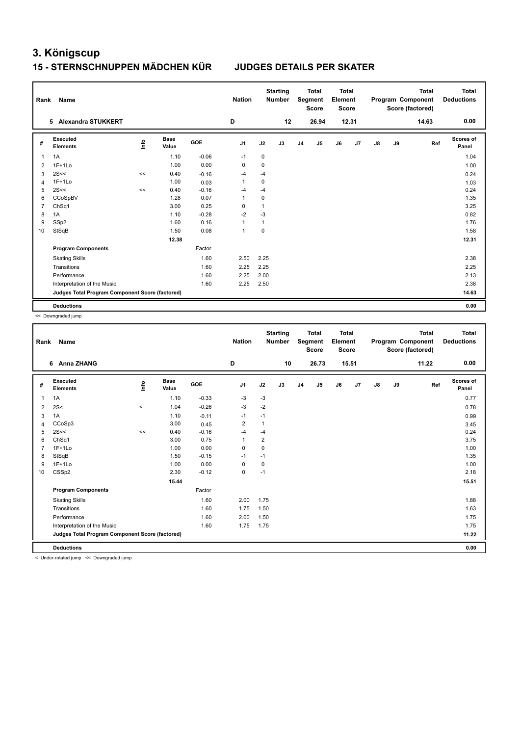### **15 - STERNSCHNUPPEN MÄDCHEN KÜR JUDGES DETAILS PER SKATER**

| Rank           | Name                                            |      |                      |            | <b>Nation</b>  |             | <b>Starting</b><br><b>Number</b> |                | <b>Total</b><br>Segment<br><b>Score</b> | <b>Total</b><br>Element<br>Score |                |               |    | <b>Total</b><br>Program Component<br>Score (factored) | <b>Total</b><br><b>Deductions</b> |
|----------------|-------------------------------------------------|------|----------------------|------------|----------------|-------------|----------------------------------|----------------|-----------------------------------------|----------------------------------|----------------|---------------|----|-------------------------------------------------------|-----------------------------------|
|                | 5 Alexandra STUKKERT                            |      |                      |            | D              |             | 12                               |                | 26.94                                   |                                  | 12.31          |               |    | 14.63                                                 | 0.00                              |
| #              | Executed<br><b>Elements</b>                     | ١rfo | <b>Base</b><br>Value | <b>GOE</b> | J1             | J2          | J3                               | J <sub>4</sub> | J5                                      | J6                               | J <sub>7</sub> | $\mathsf{J}8$ | J9 | Ref                                                   | <b>Scores of</b><br>Panel         |
| 1              | 1A                                              |      | 1.10                 | $-0.06$    | $-1$           | 0           |                                  |                |                                         |                                  |                |               |    |                                                       | 1.04                              |
| 2              | $1F+1Lo$                                        |      | 1.00                 | 0.00       | 0              | $\mathbf 0$ |                                  |                |                                         |                                  |                |               |    |                                                       | 1.00                              |
| 3              | 2S<<                                            | <<   | 0.40                 | $-0.16$    | -4             | $-4$        |                                  |                |                                         |                                  |                |               |    |                                                       | 0.24                              |
| 4              | $1F+1Lo$                                        |      | 1.00                 | 0.03       | 1              | 0           |                                  |                |                                         |                                  |                |               |    |                                                       | 1.03                              |
| 5              | 2S<<                                            | <<   | 0.40                 | $-0.16$    | -4             | $-4$        |                                  |                |                                         |                                  |                |               |    |                                                       | 0.24                              |
| 6              | CCoSpBV                                         |      | 1.28                 | 0.07       | 1              | $\mathbf 0$ |                                  |                |                                         |                                  |                |               |    |                                                       | 1.35                              |
| $\overline{7}$ | ChSq1                                           |      | 3.00                 | 0.25       | $\Omega$       | 1           |                                  |                |                                         |                                  |                |               |    |                                                       | 3.25                              |
| 8              | 1A                                              |      | 1.10                 | $-0.28$    | $-2$           | -3          |                                  |                |                                         |                                  |                |               |    |                                                       | 0.82                              |
| 9              | SSp2                                            |      | 1.60                 | 0.16       | $\overline{1}$ | 1           |                                  |                |                                         |                                  |                |               |    |                                                       | 1.76                              |
| 10             | StSqB                                           |      | 1.50                 | 0.08       | $\overline{1}$ | $\mathbf 0$ |                                  |                |                                         |                                  |                |               |    |                                                       | 1.58                              |
|                |                                                 |      | 12.38                |            |                |             |                                  |                |                                         |                                  |                |               |    |                                                       | 12.31                             |
|                | <b>Program Components</b>                       |      |                      | Factor     |                |             |                                  |                |                                         |                                  |                |               |    |                                                       |                                   |
|                | <b>Skating Skills</b>                           |      |                      | 1.60       | 2.50           | 2.25        |                                  |                |                                         |                                  |                |               |    |                                                       | 2.38                              |
|                | Transitions                                     |      |                      | 1.60       | 2.25           | 2.25        |                                  |                |                                         |                                  |                |               |    |                                                       | 2.25                              |
|                | Performance                                     |      |                      | 1.60       | 2.25           | 2.00        |                                  |                |                                         |                                  |                |               |    |                                                       | 2.13                              |
|                | Interpretation of the Music                     |      |                      | 1.60       | 2.25           | 2.50        |                                  |                |                                         |                                  |                |               |    |                                                       | 2.38                              |
|                | Judges Total Program Component Score (factored) |      |                      |            |                |             |                                  |                |                                         |                                  |                |               |    |                                                       | 14.63                             |
|                | <b>Deductions</b>                               |      |                      |            |                |             |                                  |                |                                         |                                  |                |               |    |                                                       | 0.00                              |

<< Downgraded jump

| Rank           | Name                                                   |                          |                      |         | <b>Nation</b>  |              | <b>Starting</b><br><b>Number</b> |                | <b>Total</b><br>Segment<br><b>Score</b> | <b>Total</b><br>Element<br>Score |       |               |    | <b>Total</b><br>Program Component<br>Score (factored) | <b>Total</b><br><b>Deductions</b> |
|----------------|--------------------------------------------------------|--------------------------|----------------------|---------|----------------|--------------|----------------------------------|----------------|-----------------------------------------|----------------------------------|-------|---------------|----|-------------------------------------------------------|-----------------------------------|
|                | 6 Anna ZHANG                                           |                          |                      |         | D              |              | 10                               |                | 26.73                                   |                                  | 15.51 |               |    | 11.22                                                 | 0.00                              |
| #              | Executed<br><b>Elements</b>                            | lnfo                     | <b>Base</b><br>Value | GOE     | J <sub>1</sub> | J2           | J3                               | J <sub>4</sub> | J <sub>5</sub>                          | J6                               | J7    | $\mathsf{J}8$ | J9 | Ref                                                   | <b>Scores of</b><br>Panel         |
| 1              | 1A                                                     |                          | 1.10                 | $-0.33$ | $-3$           | $-3$         |                                  |                |                                         |                                  |       |               |    |                                                       | 0.77                              |
| 2              | 2S<                                                    | $\overline{\phantom{a}}$ | 1.04                 | $-0.26$ | $-3$           | $-2$         |                                  |                |                                         |                                  |       |               |    |                                                       | 0.78                              |
| 3              | 1A                                                     |                          | 1.10                 | $-0.11$ | $-1$           | $-1$         |                                  |                |                                         |                                  |       |               |    |                                                       | 0.99                              |
| $\overline{4}$ | CCoSp3                                                 |                          | 3.00                 | 0.45    | $\overline{2}$ | $\mathbf{1}$ |                                  |                |                                         |                                  |       |               |    |                                                       | 3.45                              |
| 5              | 2S<<                                                   | <<                       | 0.40                 | $-0.16$ | $-4$           | $-4$         |                                  |                |                                         |                                  |       |               |    |                                                       | 0.24                              |
| 6              | ChSq1                                                  |                          | 3.00                 | 0.75    | 1              | 2            |                                  |                |                                         |                                  |       |               |    |                                                       | 3.75                              |
| $\overline{7}$ | $1F+1Lo$                                               |                          | 1.00                 | 0.00    | 0              | 0            |                                  |                |                                         |                                  |       |               |    |                                                       | 1.00                              |
| 8              | StSqB                                                  |                          | 1.50                 | $-0.15$ | $-1$           | $-1$         |                                  |                |                                         |                                  |       |               |    |                                                       | 1.35                              |
| 9              | $1F+1Lo$                                               |                          | 1.00                 | 0.00    | 0              | 0            |                                  |                |                                         |                                  |       |               |    |                                                       | 1.00                              |
| 10             | CSS <sub>p2</sub>                                      |                          | 2.30                 | $-0.12$ | 0              | $-1$         |                                  |                |                                         |                                  |       |               |    |                                                       | 2.18                              |
|                |                                                        |                          | 15.44                |         |                |              |                                  |                |                                         |                                  |       |               |    |                                                       | 15.51                             |
|                | <b>Program Components</b>                              |                          |                      | Factor  |                |              |                                  |                |                                         |                                  |       |               |    |                                                       |                                   |
|                | <b>Skating Skills</b>                                  |                          |                      | 1.60    | 2.00           | 1.75         |                                  |                |                                         |                                  |       |               |    |                                                       | 1.88                              |
|                | Transitions                                            |                          |                      | 1.60    | 1.75           | 1.50         |                                  |                |                                         |                                  |       |               |    |                                                       | 1.63                              |
|                | Performance                                            |                          |                      | 1.60    | 2.00           | 1.50         |                                  |                |                                         |                                  |       |               |    |                                                       | 1.75                              |
|                | Interpretation of the Music                            |                          |                      | 1.60    | 1.75           | 1.75         |                                  |                |                                         |                                  |       |               |    |                                                       | 1.75                              |
|                | Judges Total Program Component Score (factored)        |                          |                      |         |                |              |                                  |                |                                         |                                  |       |               |    |                                                       | 11.22                             |
|                | <b>Deductions</b>                                      |                          |                      |         |                |              |                                  |                |                                         |                                  |       |               |    |                                                       | 0.00                              |
|                | a children askeded from a control theory and deal from |                          |                      |         |                |              |                                  |                |                                         |                                  |       |               |    |                                                       |                                   |

< Under-rotated jump << Downgraded jump